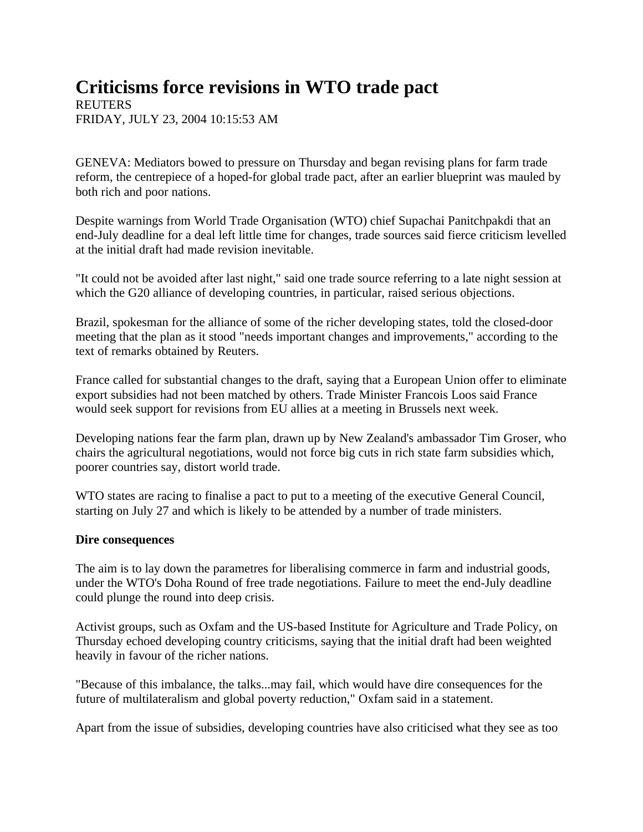## **Criticisms force revisions in WTO trade pact**

**REUTERS** FRIDAY, JULY 23, 2004 10:15:53 AM

GENEVA: Mediators bowed to pressure on Thursday and began revising plans for farm trade reform, the centrepiece of a hoped-for global trade pact, after an earlier blueprint was mauled by both rich and poor nations.

Despite warnings from World Trade Organisation (WTO) chief Supachai Panitchpakdi that an end-July deadline for a deal left little time for changes, trade sources said fierce criticism levelled at the initial draft had made revision inevitable.

"It could not be avoided after last night," said one trade source referring to a late night session at which the G20 alliance of developing countries, in particular, raised serious objections.

Brazil, spokesman for the alliance of some of the richer developing states, told the closed-door meeting that the plan as it stood "needs important changes and improvements," according to the text of remarks obtained by Reuters.

France called for substantial changes to the draft, saying that a European Union offer to eliminate export subsidies had not been matched by others. Trade Minister Francois Loos said France would seek support for revisions from EU allies at a meeting in Brussels next week.

Developing nations fear the farm plan, drawn up by New Zealand's ambassador Tim Groser, who chairs the agricultural negotiations, would not force big cuts in rich state farm subsidies which, poorer countries say, distort world trade.

WTO states are racing to finalise a pact to put to a meeting of the executive General Council, starting on July 27 and which is likely to be attended by a number of trade ministers.

## **Dire consequences**

The aim is to lay down the parametres for liberalising commerce in farm and industrial goods, under the WTO's Doha Round of free trade negotiations. Failure to meet the end-July deadline could plunge the round into deep crisis.

Activist groups, such as Oxfam and the US-based Institute for Agriculture and Trade Policy, on Thursday echoed developing country criticisms, saying that the initial draft had been weighted heavily in favour of the richer nations.

"Because of this imbalance, the talks...may fail, which would have dire consequences for the future of multilateralism and global poverty reduction," Oxfam said in a statement.

Apart from the issue of subsidies, developing countries have also criticised what they see as too